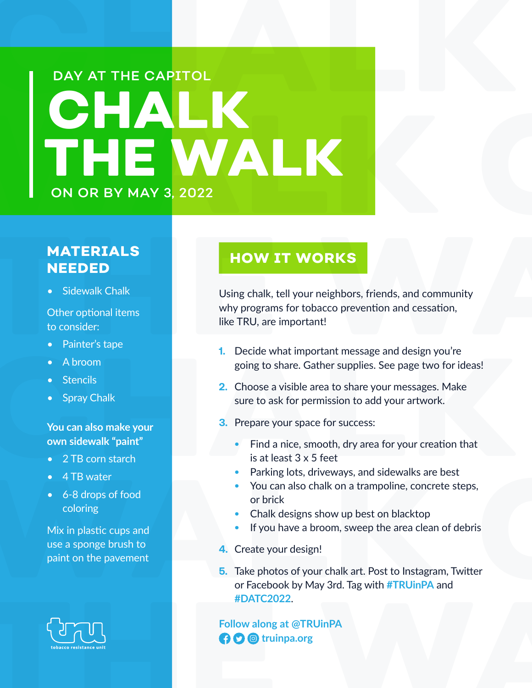# **CHALK THE CAPITOL** WALK CHALK CHARALK CHARACTER WALK **CHALK THE WALK** ON OR BY MAY 3, 2022 DAY AT THE CAPITOL

# **MATERIALS NEEDED**

• Sidewalk Chalk

Other optional items to consider:

- Painter's tape
- A broom
- **Stencils**
- **Spray Chalk**

#### **You can also make your own sidewalk "paint"**

- 2 TB corn starch
- 4 TB water
- 6-8 drops of food coloring

Mix in plastic cups and use a sponge brush to paint on the pavement



### **HOW IT WORKS**

**MATERIALS<br>
NEEDED**<br>
• Sidewalk Chalk<br> **THE WORKS**<br>
• Sidewalk Chalk<br>
Using chalk, tell your neighbors, friends, and community<br>
other optional items<br>
to consider:<br>
• Painter's tape<br>
• A broom Using chalk, tell your neighbors, friends, and community why programs for tobacco prevention and cessation, like TRU, are important!

- **1.** Decide what important message and design you're going to share. Gather supplies. See page two for ideas!
- A broom<br>
 Stencils<br>
 Stencils<br>
 Spray Chalk<br>
 Spray Chalk<br>
 Spray Chalk<br>
 Spray Chalk<br>
 Spray Chalk<br>
 Spray Chalk<br>
 Spray Chalk<br>
 Spray Chalk<br>
 2 TB corn starch<br>
 4 TB water<br>
 4 TB water<br>
 A CHALA Spratter **2.** Choose a visible area to share your messages. Make sure to ask for permission to add your artwork.
	- **3.** Prepare your space for success:
		- **•** Find a nice, smooth, dry area for your creation that is at least 3 x 5 feet
		- **•** Parking lots, driveways, and sidewalks are best
		- **•** You can also chalk on a trampoline, concrete steps, or brick
		- **•** Chalk designs show up best on blacktop
		- **•** If you have a broom, sweep the area clean of debris
	- **4.** Create your design!
- <p>• 4 TB water</p>\n<p>• 6-8 drops of food</p>\n<p>• 6-8 drops of food</p>\n<p>• 6-8 drops of food</p>\n<p>• 6-8 drops of food</p>\n<p>• 6-8 drops of food</p>\n<p>• 6-8 drops of food</p>\n<p>• 6-8 drops of food</p>\n<p>• 6-8 drops of food</p>\n<p>• 6-8 drops of food</p>\n<p>• 6-8 drops of food</p>\n<p>• 6-8 drops of food</p>\n<p>• 6-8 drops of 600</p>\n<p>• 6-8 drops of 600</p>\n<p>• 6-8 drops of 600</p>\n<p>• **5.** Take photos of your chalk art. Post to Instagram, Twitter or Facebook by May 3rd. Tag with **#TRUinPA** and **#DATC2022**.

**[E](https://www.facebook.com/TRUinPA/)xample2022.**<br> **Follow along at @TRUinPA**<br> **CO** © truinpa.org **Follow along at @TRUinPA the C d** truinpa.org